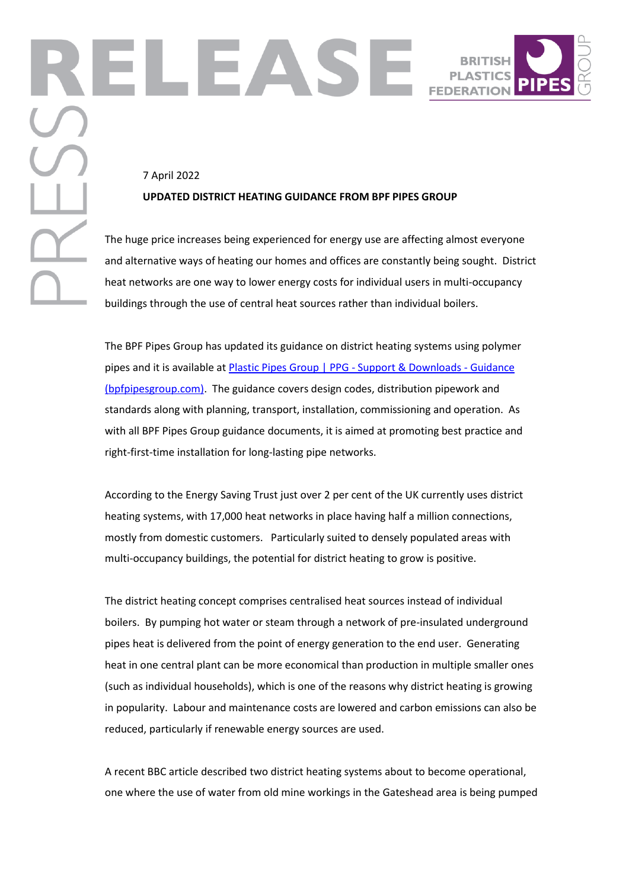## 7 April 2022 **UPDATED DISTRICT HEATING GUIDANCE FROM BPF PIPES GROUP**

The huge price increases being experienced for energy use are affecting almost everyone and alternative ways of heating our homes and offices are constantly being sought. District heat networks are one way to lower energy costs for individual users in multi-occupancy buildings through the use of central heat sources rather than individual boilers.

The BPF Pipes Group has updated its guidance on district heating systems using polymer pipes and it is available a[t Plastic Pipes Group | PPG -](https://bpfpipesgroup.com/support-downloads/technical-guidance/) Support & Downloads - Guidance [\(bpfpipesgroup.com\).](https://bpfpipesgroup.com/support-downloads/technical-guidance/) The guidance covers design codes, distribution pipework and standards along with planning, transport, installation, commissioning and operation. As with all BPF Pipes Group guidance documents, it is aimed at promoting best practice and right-first-time installation for long-lasting pipe networks.

According to the Energy Saving Trust just over 2 per cent of the UK currently uses district heating systems, with 17,000 heat networks in place having half a million connections, mostly from domestic customers. Particularly suited to densely populated areas with multi-occupancy buildings, the potential for district heating to grow is positive.

The district heating concept comprises centralised heat sources instead of individual boilers. By pumping hot water or steam through a network of pre-insulated underground pipes heat is delivered from the point of energy generation to the end user. Generating heat in one central plant can be more economical than production in multiple smaller ones (such as individual households), which is one of the reasons why district heating is growing in popularity. Labour and maintenance costs are lowered and carbon emissions can also be reduced, particularly if renewable energy sources are used.

A recent BBC article described two district heating systems about to become operational, one where the use of water from old mine workings in the Gateshead area is being pumped